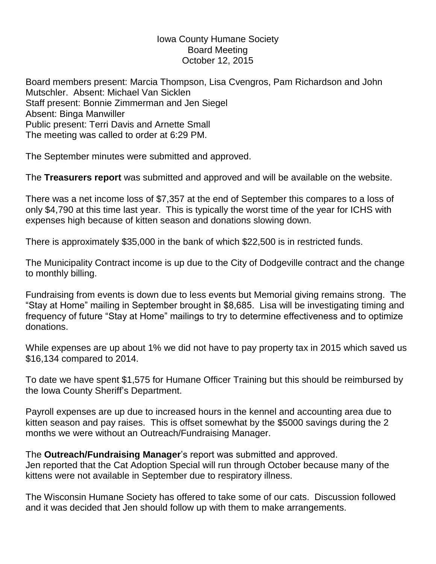## Iowa County Humane Society Board Meeting October 12, 2015

Board members present: Marcia Thompson, Lisa Cvengros, Pam Richardson and John Mutschler. Absent: Michael Van Sicklen Staff present: Bonnie Zimmerman and Jen Siegel Absent: Binga Manwiller Public present: Terri Davis and Arnette Small The meeting was called to order at 6:29 PM.

The September minutes were submitted and approved.

The **Treasurers report** was submitted and approved and will be available on the website.

There was a net income loss of \$7,357 at the end of September this compares to a loss of only \$4,790 at this time last year. This is typically the worst time of the year for ICHS with expenses high because of kitten season and donations slowing down.

There is approximately \$35,000 in the bank of which \$22,500 is in restricted funds.

The Municipality Contract income is up due to the City of Dodgeville contract and the change to monthly billing.

Fundraising from events is down due to less events but Memorial giving remains strong. The "Stay at Home" mailing in September brought in \$8,685. Lisa will be investigating timing and frequency of future "Stay at Home" mailings to try to determine effectiveness and to optimize donations.

While expenses are up about 1% we did not have to pay property tax in 2015 which saved us \$16,134 compared to 2014.

To date we have spent \$1,575 for Humane Officer Training but this should be reimbursed by the Iowa County Sheriff's Department.

Payroll expenses are up due to increased hours in the kennel and accounting area due to kitten season and pay raises. This is offset somewhat by the \$5000 savings during the 2 months we were without an Outreach/Fundraising Manager.

The **Outreach/Fundraising Manager**'s report was submitted and approved. Jen reported that the Cat Adoption Special will run through October because many of the kittens were not available in September due to respiratory illness.

The Wisconsin Humane Society has offered to take some of our cats. Discussion followed and it was decided that Jen should follow up with them to make arrangements.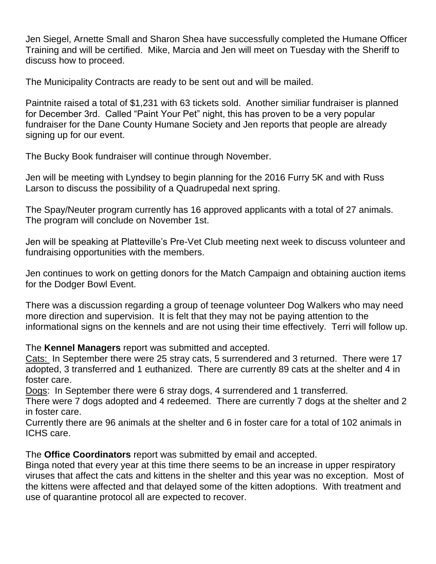Jen Siegel, Arnette Small and Sharon Shea have successfully completed the Humane Officer Training and will be certified. Mike, Marcia and Jen will meet on Tuesday with the Sheriff to discuss how to proceed.

The Municipality Contracts are ready to be sent out and will be mailed.

Paintnite raised a total of \$1,231 with 63 tickets sold. Another similiar fundraiser is planned for December 3rd. Called "Paint Your Pet" night, this has proven to be a very popular fundraiser for the Dane County Humane Society and Jen reports that people are already signing up for our event.

The Bucky Book fundraiser will continue through November.

Jen will be meeting with Lyndsey to begin planning for the 2016 Furry 5K and with Russ Larson to discuss the possibility of a Quadrupedal next spring.

The Spay/Neuter program currently has 16 approved applicants with a total of 27 animals. The program will conclude on November 1st.

Jen will be speaking at Platteville's Pre-Vet Club meeting next week to discuss volunteer and fundraising opportunities with the members.

Jen continues to work on getting donors for the Match Campaign and obtaining auction items for the Dodger Bowl Event.

There was a discussion regarding a group of teenage volunteer Dog Walkers who may need more direction and supervision. It is felt that they may not be paying attention to the informational signs on the kennels and are not using their time effectively. Terri will follow up.

The **Kennel Managers** report was submitted and accepted.

Cats: In September there were 25 stray cats, 5 surrendered and 3 returned. There were 17 adopted, 3 transferred and 1 euthanized. There are currently 89 cats at the shelter and 4 in foster care.

Dogs: In September there were 6 stray dogs, 4 surrendered and 1 transferred.

There were 7 dogs adopted and 4 redeemed. There are currently 7 dogs at the shelter and 2 in foster care.

Currently there are 96 animals at the shelter and 6 in foster care for a total of 102 animals in ICHS care.

The **Office Coordinators** report was submitted by email and accepted.

Binga noted that every year at this time there seems to be an increase in upper respiratory viruses that affect the cats and kittens in the shelter and this year was no exception. Most of the kittens were affected and that delayed some of the kitten adoptions. With treatment and use of quarantine protocol all are expected to recover.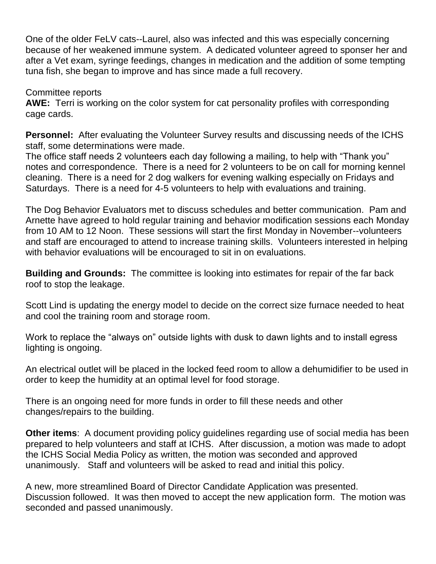One of the older FeLV cats--Laurel, also was infected and this was especially concerning because of her weakened immune system. A dedicated volunteer agreed to sponser her and after a Vet exam, syringe feedings, changes in medication and the addition of some tempting tuna fish, she began to improve and has since made a full recovery.

Committee reports

**AWE:** Terri is working on the color system for cat personality profiles with corresponding cage cards.

**Personnel:** After evaluating the Volunteer Survey results and discussing needs of the ICHS staff, some determinations were made.

The office staff needs 2 volunteers each day following a mailing, to help with "Thank you" notes and correspondence. There is a need for 2 volunteers to be on call for morning kennel cleaning. There is a need for 2 dog walkers for evening walking especially on Fridays and Saturdays. There is a need for 4-5 volunteers to help with evaluations and training.

The Dog Behavior Evaluators met to discuss schedules and better communication. Pam and Arnette have agreed to hold regular training and behavior modification sessions each Monday from 10 AM to 12 Noon. These sessions will start the first Monday in November--volunteers and staff are encouraged to attend to increase training skills. Volunteers interested in helping with behavior evaluations will be encouraged to sit in on evaluations.

**Building and Grounds:** The committee is looking into estimates for repair of the far back roof to stop the leakage.

Scott Lind is updating the energy model to decide on the correct size furnace needed to heat and cool the training room and storage room.

Work to replace the "always on" outside lights with dusk to dawn lights and to install egress lighting is ongoing.

An electrical outlet will be placed in the locked feed room to allow a dehumidifier to be used in order to keep the humidity at an optimal level for food storage.

There is an ongoing need for more funds in order to fill these needs and other changes/repairs to the building.

**Other items**: A document providing policy guidelines regarding use of social media has been prepared to help volunteers and staff at ICHS. After discussion, a motion was made to adopt the ICHS Social Media Policy as written, the motion was seconded and approved unanimously. Staff and volunteers will be asked to read and initial this policy.

A new, more streamlined Board of Director Candidate Application was presented. Discussion followed. It was then moved to accept the new application form. The motion was seconded and passed unanimously.